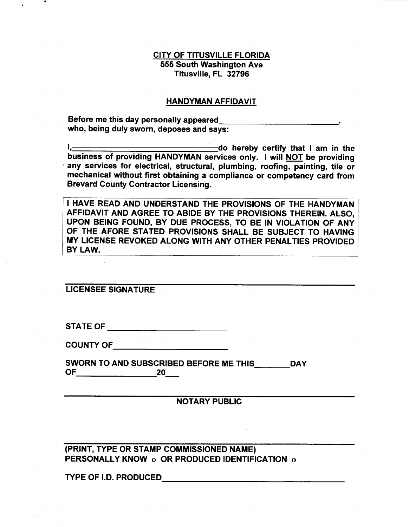## **CITY OF TITUSVILLE FLORIDA 555 South Washington Ave Titusville, FL 32796**

#### **HANDYMAN AFFIDAVIT**

**Before me this day personally appeared who, being duly sworn, deposes and says:** 

**do hereby certify that I am in the business of providing HANDYMAN services only. I will NOT be providing • any services for electrical, structural, plumbing, roofing, painting, tile or mechanical without first obtaining a compliance or competency card from Brevard County Contractor Licensing.** 

**I HAVE READ AND UNDERSTAND THE PROVISIONS OF THE HANDYMAN AFFIDAVIT AND AGREE TO ABIDE BY THE PROVISIONS THEREIN. ALSO, UPON BEING FOUND, BY DUE PROCESS, TO BE IN VIOLATION OF ANY OF THE AFORE STATED PROVISIONS SHALL BE SUBJECT TO HAVING MY LICENSE REVOKED ALONG WITH ANY OTHER PENALTIES PROVIDED BY LAW.** 

**LICENSEE SIGNATURE** 

**STATE OF** 

**COUNTY OF** 

**SWORN TO AND SUBSCRIBED BEFORE ME THIS DAY OF 20** 

**NOTARY PUBLIC** 

**(PRINT, TYPE OR STAMP COMMISSIONED NAME) PERSONALLY KNOW o OR PRODUCED IDENTIFICATION o** 

**TYPE OF I.D. PRODUCED**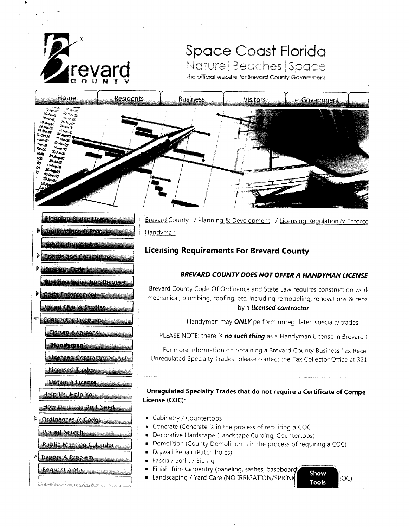

**Riconing & Devilons** 

**plication/Status:** 

**Boards and Committees** 

te Enforcement sta

amp Plan & Studies

Licensed Contractor Search

tting Inspection Request

inn Code

Contractor Licensing

Citizen Awareness

**Handyman** 

Liconsed Trades Obtain a License

Help Us, Help You

D Ordinances & Codes

Report A Problem

.<br>Andre parlamentaris provincia e contra contenentaris de contenente de contenente de contenente de la contenent

Request a Map

How Do Leos Do L Need

Permit Search

Public Meeting Calendar,

Þ

₹.

**D** Applications Sureo

# Space Coast Florida Nature | Beaches | Space

the official website for Brevard County Government

| Home                                                                                                                                                                                                                                                                                                                                                                                                                                                                                                                                                                                                                             | <b>Residents</b> | <b>Business</b> | <b>Visitors</b> | e-Government |
|----------------------------------------------------------------------------------------------------------------------------------------------------------------------------------------------------------------------------------------------------------------------------------------------------------------------------------------------------------------------------------------------------------------------------------------------------------------------------------------------------------------------------------------------------------------------------------------------------------------------------------|------------------|-----------------|-----------------|--------------|
| <b>Company</b><br>$\omega_{\rm{max},p}$<br><b>Compromis</b><br>$-5.44\pm 0.00$<br><b>BAND</b><br>$\mathcal{M}_{\rm Fb}$ and $\mathcal{M}_{\rm eff}$<br>$x_{max}$<br>$-5.457(0)$<br><b>Brown Street</b><br>$rac{16}{41}$ OCLAN<br>$\mathcal{I}_{\mathcal{A}}$ , $\mathcal{I}_{\mathcal{B}^{\text{in}}_{\text{out}}(\mathcal{A})}$<br><b>BEARTH</b><br>$\mathcal{W}^{(1,3)}$<br><b>F.P. Adams of</b><br><b>Mange</b><br><b>CARRID</b><br>$-60 - 90$<br><b>Revenue</b><br>Freq <sub>2</sub><br><b>Brian Co</b><br>NG<br>48<br>$\frac{1}{2}$ $\frac{1}{2}$ $\frac{1}{2}$ $\frac{1}{2}$ $\frac{1}{2}$<br>24.490<br>e B<br><b>BOKO</b> |                  |                 |                 |              |

Brevard County / Planning & Development / Licensing Regulation & Enforce Handyman

# **Licensing Requirements For Brevard County**

## BREVARD COUNTY DOES NOT OFFER A HANDYMAN LICENSE

Brevard County Code Of Ordinance and State Law requires construction work mechanical, plumbing, roofing, etc. including remodeling, renovations & repa by a licensed contractor.

Handyman may ONLY perform unregulated specialty trades.

PLEASE NOTE: there is no such thing as a Handyman License in Brevard (

For more information on obtaining a Brevard County Business Tax Rece "Unregulated Specialty Trades" please contact the Tax Collector Office at 321

Unregulated Specialty Trades that do not require a Certificate of Compet License (COC):

- Cabinetry / Countertops
- Concrete (Concrete is in the process of requiring a COC)
- Decorative Hardscape (Landscape Curbing, Countertops)
- Demolition (County Demolition is in the process of requiring a COC)  $\blacksquare$
- Drywall Repair (Patch holes)  $\blacksquare$
- Fascia / Soffit / Siding
- Finish Trim Carpentry (paneling, sashes, baseboard,
- Landscaping / Yard Care (NO IRRIGATION/SPRINK

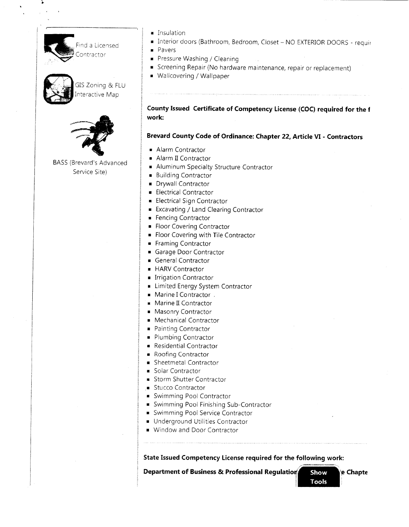nd a Licensed htractor



GIS Zoning & FLU nteractive Map



BASS (Brevard's Advanced Service Site)

- Insulation
- Interior doors (Bathroom, Bedroom, Closet NO EXTERIOR DOORS requir
- Pavers
- Pressure Washing / Cleaning
- Screening Repair (No hardware maintenance, repair or replacement)
- Wallcovering / Wallpaper

**County Issued Certificate of Competency License (COC) required for the <sup>f</sup> work:** 

**Brevard County Code of Ordinance: Chapter 22, Article VI - Contractors** 

- Alarm Contractor
- Alarm II Contractor
- Aluminum Specialty Structure Contractor
- Building Contractor
- Drywall Contractor
- Electrical Contractor
- Electrical Sign Contractor
- Excavating / Land Clearing Contractor
- Fencing Contractor
- Floor Covering Contractor
- Floor Covering with Tile Contractor
- Framing Contractor
- Garage Door Contractor
- General Contractor
- HARV Contractor
- Irrigation Contractor
- Limited Energy System Contractor
- Marine I Contractor .
- Marine II Contractor
- Masonry Contractor
- Mechanical Contractor
- Painting Contractor
- Plumbing Contractor
- Residential Contractor
- Roofing Contractor
- Sheetmetal Contractor
- Solar Contractor
- Storm Shutter Contractor
- Stucco Contractor
- Swimming Pool Contractor
- Swimming Pool Finishing Sub-Contractor
- Swimming Pool Service Contractor
- Underground Utilities Contractor
- Window and Door Contractor

**State Issued Competency License required for the following work:** 

**Department of Business & Professional Regulatio**n **Show** e **Chapte**